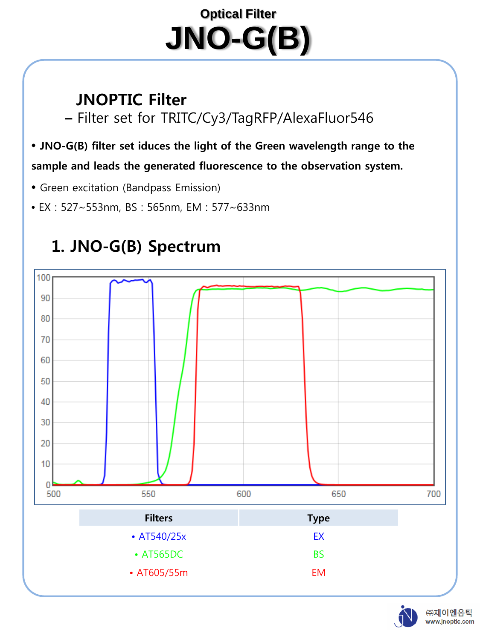# **Optical Filter JNO-G(B)**

# **JNOPTIC Filter**

**–** Filter set for TRITC/Cy3/TagRFP/AlexaFluor546

#### • **JNO-G(B) filter set iduces the light of the Green wavelength range to the**

#### **sample and leads the generated fluorescence to the observation system.**

- Green excitation (Bandpass Emission)
- EX : 527~553nm, BS : 565nm, EM : 577~633nm



# **1. JNO-G(B) Spectrum**

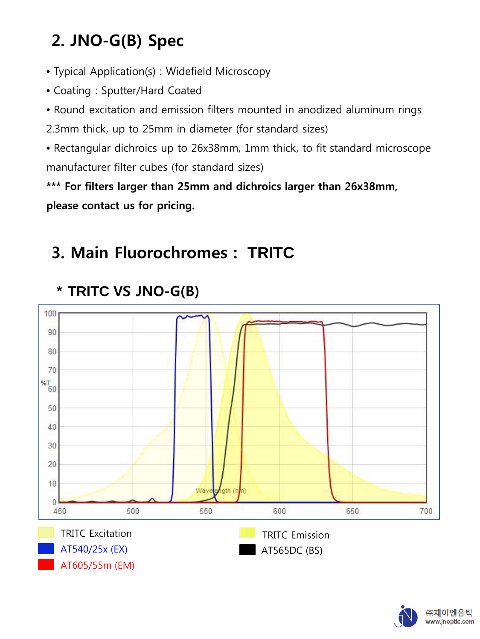# **2. JNO-G(B) Spec**

- Typical Application(s) : Widefield Microscopy
- Coating : Sputter/Hard Coated
- Round excitation and emission filters mounted in anodized aluminum rings

2.3mm thick, up to 25mm in diameter (for standard sizes)

• Rectangular dichroics up to 26x38mm, 1mm thick, to fit standard microscope manufacturer filter cubes (for standard sizes)

**\*\*\* For filters larger than 25mm and dichroics larger than 26x38mm, please contact us for pricing.**

# **3. Main Fluorochromes : TRITC**



#### **\* TRITC VS JNO-G(B)**

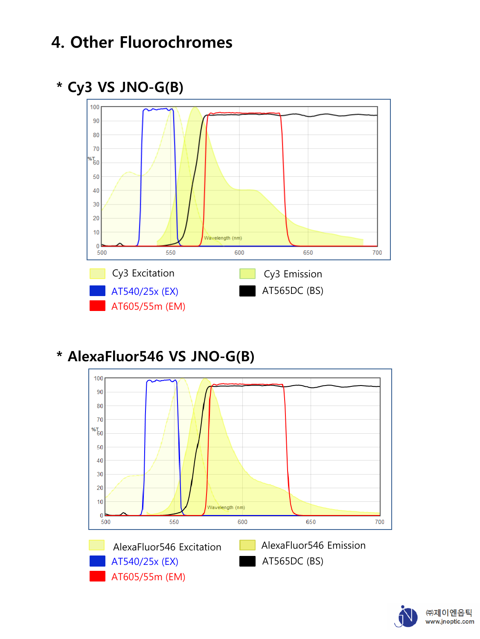# **4. Other Fluorochromes**

#### **\* Cy3 VS JNO-G(B)**



#### **\* AlexaFluor546 VS JNO-G(B)**



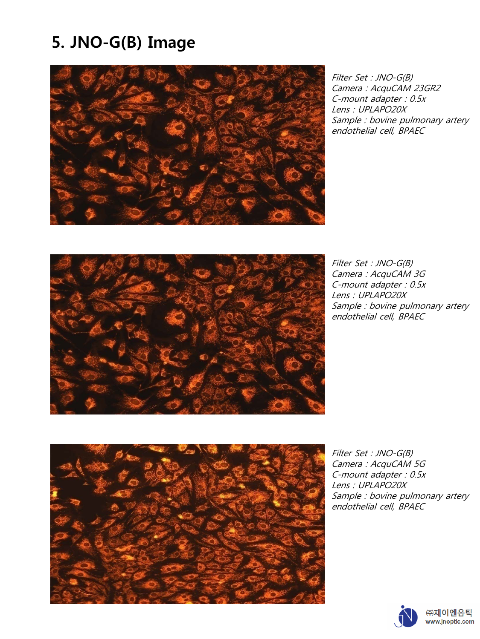# **5. JNO-G(B) Image**



Filter Set : JNO-G(B) Camera : AcquCAM 23GR2 C-mount adapter : 0.5x Lens : UPLAPO20X Sample : bovine pulmonary artery endothelial cell, BPAEC



Filter Set : JNO-G(B) Camera : AcquCAM 3G C-mount adapter : 0.5x Lens : UPLAPO20X Sample : bovine pulmonary artery endothelial cell, BPAEC



Filter Set : JNO-G(B) Camera : AcquCAM 5G C-mount adapter : 0.5x Lens : UPLAPO20X Sample : bovine pulmonary artery endothelial cell, BPAEC